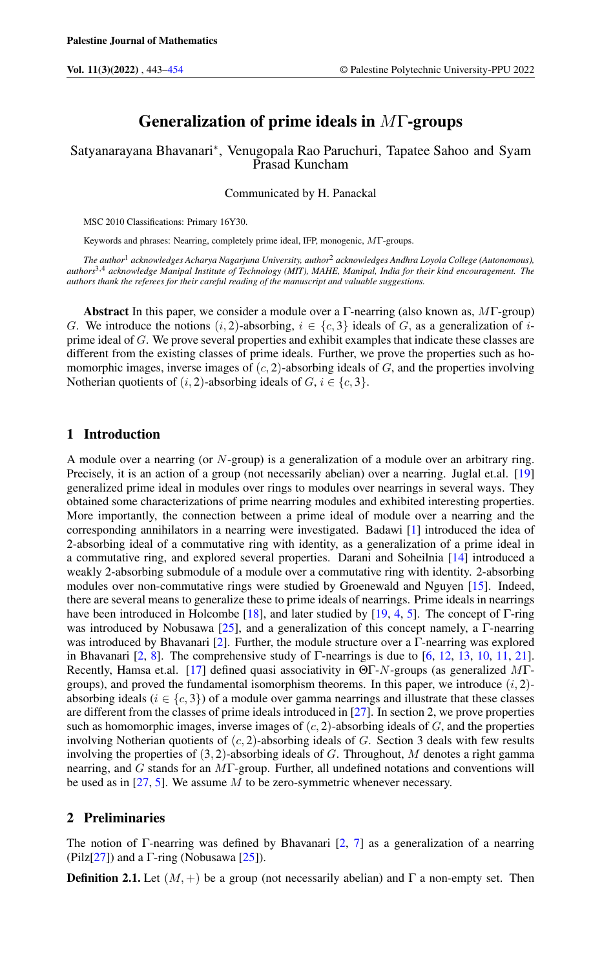# Generalization of prime ideals in MΓ-groups

## Satyanarayana Bhavanari<sup>∗</sup> , Venugopala Rao Paruchuri, Tapatee Sahoo and Syam Prasad Kuncham

Communicated by H. Panackal

MSC 2010 Classifications: Primary 16Y30.

Keywords and phrases: Nearring, completely prime ideal, IFP, monogenic, MΓ-groups.

*The author*<sup>1</sup> *acknowledges Acharya Nagarjuna University, author*<sup>2</sup> *acknowledges Andhra Loyola College (Autonomous), authors*3,<sup>4</sup> *acknowledge Manipal Institute of Technology (MIT), MAHE, Manipal, India for their kind encouragement. The authors thank the referees for their careful reading of the manuscript and valuable suggestions.*

Abstract In this paper, we consider a module over a Γ-nearring (also known as, MΓ-group) G. We introduce the notions  $(i, 2)$ -absorbing,  $i \in \{c, 3\}$  ideals of G, as a generalization of iprime ideal of G. We prove several properties and exhibit examples that indicate these classes are different from the existing classes of prime ideals. Further, we prove the properties such as homomorphic images, inverse images of  $(c, 2)$ -absorbing ideals of G, and the properties involving Notherian quotients of  $(i, 2)$ -absorbing ideals of  $G, i \in \{c, 3\}.$ 

## 1 Introduction

A module over a nearring (or N-group) is a generalization of a module over an arbitrary ring. Precisely, it is an action of a group (not necessarily abelian) over a nearring. Juglal et.al. [\[19\]](#page-11-0) generalized prime ideal in modules over rings to modules over nearrings in several ways. They obtained some characterizations of prime nearring modules and exhibited interesting properties. More importantly, the connection between a prime ideal of module over a nearring and the corresponding annihilators in a nearring were investigated. Badawi [\[1\]](#page-10-1) introduced the idea of 2-absorbing ideal of a commutative ring with identity, as a generalization of a prime ideal in a commutative ring, and explored several properties. Darani and Soheilnia [\[14\]](#page-11-1) introduced a weakly 2-absorbing submodule of a module over a commutative ring with identity. 2-absorbing modules over non-commutative rings were studied by Groenewald and Nguyen [\[15\]](#page-11-2). Indeed, there are several means to generalize these to prime ideals of nearrings. Prime ideals in nearrings have been introduced in Holcombe [\[18\]](#page-11-3), and later studied by [\[19,](#page-11-0) [4,](#page-10-2) [5\]](#page-10-3). The concept of  $\Gamma$ -ring was introduced by Nobusawa [\[25\]](#page-11-4), and a generalization of this concept namely, a Γ-nearring was introduced by Bhavanari [\[2\]](#page-10-4). Further, the module structure over a Γ-nearring was explored in Bhavanari [\[2,](#page-10-4) [8\]](#page-10-5). The comprehensive study of Γ-nearrings is due to [\[6,](#page-10-6) [12,](#page-10-7) [13,](#page-10-8) [10,](#page-10-9) [11,](#page-10-10) [21\]](#page-11-5). Recently, Hamsa et.al. [\[17\]](#page-11-6) defined quasi associativity in ΘΓ-N-groups (as generalized MΓgroups), and proved the fundamental isomorphism theorems. In this paper, we introduce  $(i, 2)$ absorbing ideals ( $i \in \{c, 3\}$ ) of a module over gamma nearrings and illustrate that these classes are different from the classes of prime ideals introduced in [\[27\]](#page-11-7). In section 2, we prove properties such as homomorphic images, inverse images of  $(c, 2)$ -absorbing ideals of  $G$ , and the properties involving Notherian quotients of  $(c, 2)$ -absorbing ideals of G. Section 3 deals with few results involving the properties of  $(3, 2)$ -absorbing ideals of G. Throughout, M denotes a right gamma nearring, and G stands for an MΓ-group. Further, all undefined notations and conventions will be used as in  $[27, 5]$  $[27, 5]$  $[27, 5]$ . We assume M to be zero-symmetric whenever necessary.

## 2 Preliminaries

The notion of Γ-nearring was defined by Bhavanari  $[2, 7]$  $[2, 7]$  $[2, 7]$  as a generalization of a nearring (Pilz[\[27\]](#page-11-7)) and a  $\Gamma$ -ring (Nobusawa [\[25\]](#page-11-4)).

**Definition 2.1.** Let  $(M, +)$  be a group (not necessarily abelian) and  $\Gamma$  a non-empty set. Then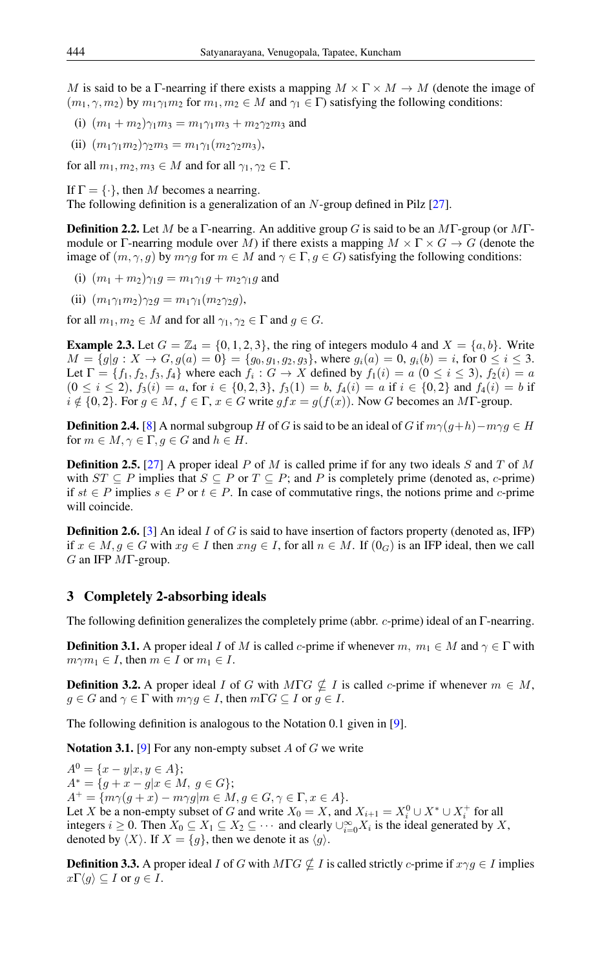M is said to be a Γ-nearring if there exists a mapping  $M \times \Gamma \times M \rightarrow M$  (denote the image of  $(m_1, \gamma, m_2)$  by  $m_1 \gamma_1 m_2$  for  $m_1, m_2 \in M$  and  $\gamma_1 \in \Gamma$ ) satisfying the following conditions:

(i)  $(m_1 + m_2)\gamma_1 m_3 = m_1 \gamma_1 m_3 + m_2 \gamma_2 m_3$  and

(ii)  $(m_1\gamma_1m_2)\gamma_2m_3 = m_1\gamma_1(m_2\gamma_2m_3),$ 

for all  $m_1, m_2, m_3 \in M$  and for all  $\gamma_1, \gamma_2 \in \Gamma$ .

If  $\Gamma = \{\cdot\}$ , then M becomes a nearring.

The following definition is a generalization of an N-group defined in Pilz [\[27\]](#page-11-7).

**Definition 2.2.** Let M be a Γ-nearring. An additive group G is said to be an MΓ-group (or MΓmodule or Γ-nearring module over M) if there exists a mapping  $M \times \Gamma \times G \to G$  (denote the image of  $(m, \gamma, g)$  by  $m\gamma g$  for  $m \in M$  and  $\gamma \in \Gamma, g \in G$ ) satisfying the following conditions:

- (i)  $(m_1 + m_2)\gamma_1 q = m_1\gamma_1 q + m_2\gamma_1 q$  and
- (ii)  $(m_1\gamma_1m_2)\gamma_2g = m_1\gamma_1(m_2\gamma_2g),$

for all  $m_1, m_2 \in M$  and for all  $\gamma_1, \gamma_2 \in \Gamma$  and  $g \in G$ .

**Example 2.3.** Let  $G = \mathbb{Z}_4 = \{0, 1, 2, 3\}$ , the ring of integers modulo 4 and  $X = \{a, b\}$ . Write  $M = \{g | g : X \to G, g(a) = 0\} = \{g_0, g_1, g_2, g_3\}$ , where  $g_i(a) = 0$ ,  $g_i(b) = i$ , for  $0 \le i \le 3$ . Let  $\Gamma = \{f_1, f_2, f_3, f_4\}$  where each  $f_i : G \to X$  defined by  $f_1(i) = a$   $(0 \le i \le 3)$ ,  $f_2(i) = a$  $(0 \le i \le 2)$ ,  $f_3(i) = a$ , for  $i \in \{0, 2, 3\}$ ,  $f_3(1) = b$ ,  $f_4(i) = a$  if  $i \in \{0, 2\}$  and  $f_4(i) = b$  if  $i \notin \{0, 2\}$ . For  $g \in M$ ,  $f \in \Gamma$ ,  $x \in G$  write  $gfx = g(f(x))$ . Now G becomes an MT-group.

**Definition 2.4.** [\[8\]](#page-10-5) A normal subgroup H of G is said to be an ideal of G if  $m\gamma(g+h)-m\gamma g \in H$ for  $m \in M$ ,  $\gamma \in \Gamma$ ,  $g \in G$  and  $h \in H$ .

**Definition 2.5.** [\[27\]](#page-11-7) A proper ideal P of M is called prime if for any two ideals S and T of M with  $ST \subseteq P$  implies that  $S \subseteq P$  or  $T \subseteq P$ ; and P is completely prime (denoted as, c-prime) if  $st ∈ P$  implies  $s ∈ P$  or  $t ∈ P$ . In case of commutative rings, the notions prime and c-prime will coincide.

**Definition 2.6.** [\[3\]](#page-10-12) An ideal I of G is said to have insertion of factors property (denoted as, IFP) if  $x \in M$ ,  $g \in G$  with  $xg \in I$  then  $xng \in I$ , for all  $n \in M$ . If  $(0<sub>G</sub>)$  is an IFP ideal, then we call  $G$  an IFP  $M\Gamma$ -group.

### 3 Completely 2-absorbing ideals

The following definition generalizes the completely prime (abbr. c-prime) ideal of an Γ-nearring.

**Definition 3.1.** A proper ideal I of M is called c-prime if whenever  $m, m_1 \in M$  and  $\gamma \in \Gamma$  with  $m\gamma m_1 \in I$ , then  $m \in I$  or  $m_1 \in I$ .

**Definition 3.2.** A proper ideal I of G with  $M\Gamma G \nsubseteq I$  is called c-prime if whenever  $m \in M$ ,  $g \in G$  and  $\gamma \in \Gamma$  with  $m\gamma g \in I$ , then  $m\Gamma G \subseteq I$  or  $g \in I$ .

The following definition is analogous to the Notation 0.1 given in [\[9\]](#page-10-13).

**Notation 3.1.** [\[9\]](#page-10-13) For any non-empty subset A of G we write

 $A^{0} = \{x - y | x, y \in A\};$  $A^* = \{g + x - g | x \in M, g \in G\};$  $A^+ = \{m\gamma(g+x) - m\gamma g|m \in M, g \in G, \gamma \in \Gamma, x \in A\}.$ Let X be a non-empty subset of G and write  $X_0 = X$ , and  $X_{i+1} = X_i^0 \cup X^* \cup X_i^+$  for all integers  $i \geq 0$ . Then  $X_0 \subseteq X_1 \subseteq X_2 \subseteq \cdots$  and clearly  $\cup_{i=0}^{\infty} X_i$  is the ideal generated by X, denoted by  $\langle X \rangle$ . If  $X = \{g\}$ , then we denote it as  $\langle g \rangle$ .

**Definition 3.3.** A proper ideal I of G with  $M\Gamma G \nsubseteq I$  is called strictly c-prime if  $x \gamma g \in I$  implies  $x\Gamma\langle g\rangle \subseteq I$  or  $g \in I$ .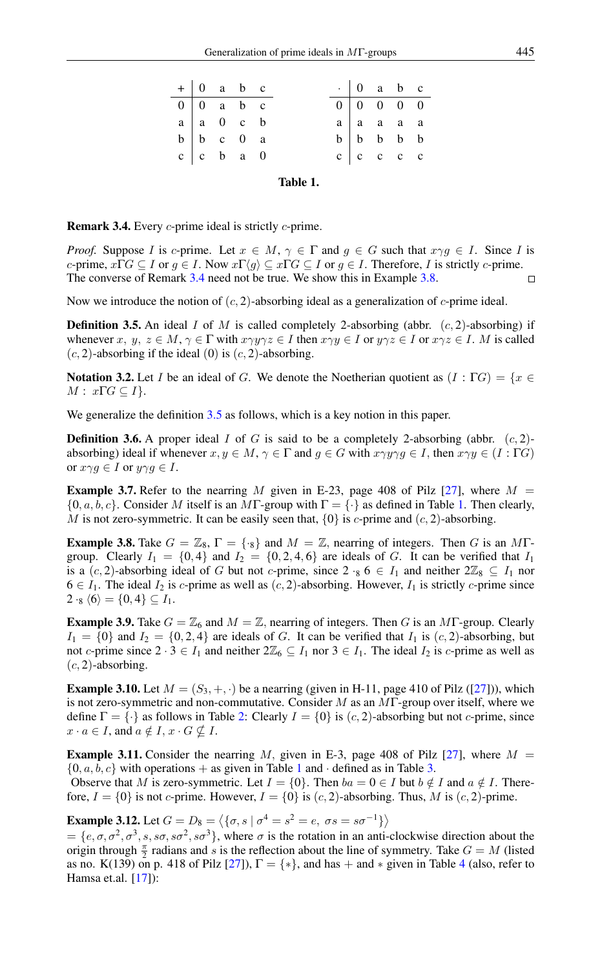<span id="page-2-3"></span>

|                                                                                                                                                       | $+ 0$ a b c |  |          |                                                                                                                                                                                                            |  | $\cdot$ 0 a b c |  |
|-------------------------------------------------------------------------------------------------------------------------------------------------------|-------------|--|----------|------------------------------------------------------------------------------------------------------------------------------------------------------------------------------------------------------------|--|-----------------|--|
|                                                                                                                                                       |             |  |          |                                                                                                                                                                                                            |  |                 |  |
|                                                                                                                                                       |             |  |          |                                                                                                                                                                                                            |  |                 |  |
|                                                                                                                                                       |             |  |          |                                                                                                                                                                                                            |  |                 |  |
| $\begin{tabular}{ c c c c c } \hline 0 & 0 & a & b & c \\ \hline a & a & 0 & c & b \\ b & b & c & 0 & a \\ c & c & b & a & 0 \\ \hline \end{tabular}$ |             |  |          | $\begin{tabular}{ c c c c c } \hline $\,0\, & \,0\, & \,0\, & \,0\, & \,0\, & \,0\, \\ \hline $a$ & $a$ & $a$ & $a$ \\ $b$ & $b$ & $b$ & $b$ & $b$ \\ $c$ & $c$ & $c$ & $c$ & $c$ \\ \hline \end{tabular}$ |  |                 |  |
|                                                                                                                                                       |             |  | Table 1. |                                                                                                                                                                                                            |  |                 |  |

<span id="page-2-0"></span>Remark 3.4. Every c-prime ideal is strictly c-prime.

*Proof.* Suppose I is c-prime. Let  $x \in M$ ,  $\gamma \in \Gamma$  and  $g \in G$  such that  $x \gamma g \in I$ . Since I is c-prime,  $x\Gamma G \subseteq I$  or  $g \in I$ . Now  $x\Gamma \langle g \rangle \subseteq x\Gamma G \subseteq I$  or  $g \in I$ . Therefore, I is strictly c-prime. The converse of Remark [3.4](#page-2-0) need not be true. We show this in Example [3.8.](#page-2-1)  $\Box$ 

Now we introduce the notion of  $(c, 2)$ -absorbing ideal as a generalization of  $c$ -prime ideal.

<span id="page-2-2"></span>**Definition 3.5.** An ideal I of M is called completely 2-absorbing (abbr.  $(c, 2)$ -absorbing) if whenever x,  $y, z \in M$ ,  $\gamma \in \Gamma$  with  $x \gamma y \gamma z \in I$  then  $x \gamma y \in I$  or  $y \gamma z \in I$  or  $x \gamma z \in I$ . M is called  $(c, 2)$ -absorbing if the ideal  $(0)$  is  $(c, 2)$ -absorbing.

**Notation 3.2.** Let I be an ideal of G. We denote the Noetherian quotient as  $(I : \Gamma G) = \{x \in$  $M: x\Gamma G \subseteq I$ .

We generalize the definition [3.5](#page-2-2) as follows, which is a key notion in this paper.

**Definition 3.6.** A proper ideal I of G is said to be a completely 2-absorbing (abbr.  $(c, 2)$ ) absorbing) ideal if whenever  $x, y \in M$ ,  $\gamma \in \Gamma$  and  $g \in G$  with  $x \gamma y \gamma g \in I$ , then  $x \gamma y \in (I : \Gamma G)$ or  $x \gamma g \in I$  or  $y \gamma g \in I$ .

**Example 3.7.** Refer to the nearring M given in E-23, page 408 of Pilz [\[27\]](#page-11-7), where  $M =$  $\{0, a, b, c\}$ . Consider M itself is an MT-group with  $\Gamma = \{\cdot\}$  as defined in Table [1.](#page-2-3) Then clearly, M is not zero-symmetric. It can be easily seen that,  $\{0\}$  is c-prime and  $(c, 2)$ -absorbing.

<span id="page-2-1"></span>**Example 3.8.** Take  $G = \mathbb{Z}_8$ ,  $\Gamma = \{\cdot_8\}$  and  $M = \mathbb{Z}$ , nearring of integers. Then G is an MTgroup. Clearly  $I_1 = \{0, 4\}$  and  $I_2 = \{0, 2, 4, 6\}$  are ideals of G. It can be verified that  $I_1$ is a  $(c, 2)$ -absorbing ideal of G but not c-prime, since  $2 \cdot_8 6 \in I_1$  and neither  $2\mathbb{Z}_8 \subseteq I_1$  nor  $6 \in I_1$ . The ideal  $I_2$  is c-prime as well as  $(c, 2)$ -absorbing. However,  $I_1$  is strictly c-prime since  $2 \cdot_8 \langle 6 \rangle = \{0, 4\} \subseteq I_1.$ 

**Example 3.9.** Take  $G = \mathbb{Z}_6$  and  $M = \mathbb{Z}$ , nearring of integers. Then G is an MT-group. Clearly  $I_1 = \{0\}$  and  $I_2 = \{0, 2, 4\}$  are ideals of G. It can be verified that  $I_1$  is  $(c, 2)$ -absorbing, but not c-prime since  $2 \cdot 3 \in I_1$  and neither  $2\mathbb{Z}_6 \subseteq I_1$  nor  $3 \in I_1$ . The ideal  $I_2$  is c-prime as well as  $(c, 2)$ -absorbing.

**Example 3.10.** Let  $M = (S_3, +, \cdot)$  be a nearring (given in H-11, page 410 of Pilz ([\[27\]](#page-11-7))), which is not zero-symmetric and non-commutative. Consider M as an  $MT$ -group over itself, where we define  $\Gamma = \{\cdot\}$  as follows in Table [2:](#page-3-0) Clearly  $I = \{0\}$  is  $(c, 2)$ -absorbing but not c-prime, since  $x \cdot a \in I$ , and  $a \notin I$ ,  $x \cdot G \nsubseteq I$ .

**Example 3.11.** Consider the nearring M, given in E-3, page 408 of Pilz [\[27\]](#page-11-7), where  $M =$  $\{0, a, b, c\}$  with operations + as given in Table [1](#page-2-3) and · defined as in Table [3.](#page-3-1) Observe that M is zero-symmetric. Let  $I = \{0\}$ . Then  $ba = 0 \in I$  but  $b \notin I$  and  $a \notin I$ . Therefore,  $I = \{0\}$  is not c-prime. However,  $I = \{0\}$  is  $(c, 2)$ -absorbing. Thus, M is  $(c, 2)$ -prime.

**Example 3.12.** Let  $G = D_8 = \langle \{\sigma, s \mid \sigma^4 = s^2 = e, \ \sigma s = s \sigma^{-1} \} \rangle$ 

 $=\{e,\sigma,\sigma^2,\sigma^3,s,s\sigma,s\sigma^2,s\sigma^3\}$ , where  $\sigma$  is the rotation in an anti-clockwise direction about the origin through  $\frac{\pi}{2}$  radians and s is the reflection about the line of symmetry. Take  $G = M$  (listed as no. K(139) on p. 418 of Pilz [\[27\]](#page-11-7)),  $\Gamma = \{*\}$ , and has  $+$  and  $*$  given in Table [4](#page-3-2) (also, refer to Hamsa et.al. [\[17\]](#page-11-6)):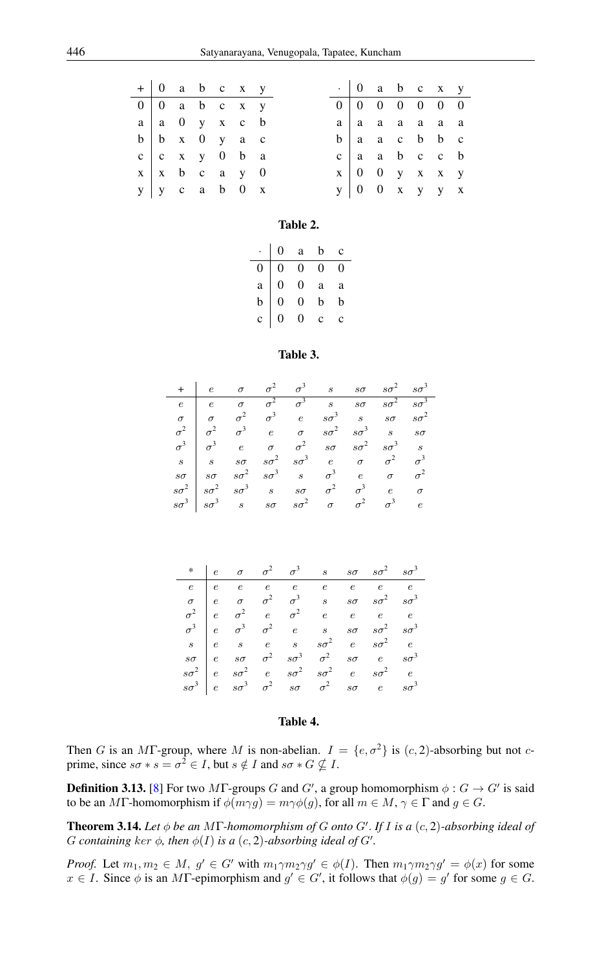| $+ 0$ a b c x y                                         |  |  |  |  |  | $\cdot$ 0 a b c x y                                     |  |
|---------------------------------------------------------|--|--|--|--|--|---------------------------------------------------------|--|
| $0 \mid 0$ a b c x y                                    |  |  |  |  |  | 0   0 0 0 0 0 0                                         |  |
| $a \mid a \mid 0 \mid y \mid x \mid c \mid b$           |  |  |  |  |  | $a \mid a$ a a a a a                                    |  |
| $b \mid b \mid x \mid 0 \mid y \mid a \mid c$           |  |  |  |  |  | $b \mid a \mid a \mid c \mid b \mid b \mid c$           |  |
| $c \begin{bmatrix} c & x & y & 0 & b & a \end{bmatrix}$ |  |  |  |  |  | $c$ a a b c c b                                         |  |
| $x \mid x$ b c a y 0                                    |  |  |  |  |  | $x \begin{pmatrix} 0 & 0 & y & x & x & y \end{pmatrix}$ |  |
| $y \mid y$ c a b 0 x                                    |  |  |  |  |  | $y \begin{pmatrix} 0 & 0 & x & y & y & x \end{pmatrix}$ |  |

#### <span id="page-3-0"></span>Table 2.

|              | 0              | $\rm{a}$         | $\mathbf b$      | c |
|--------------|----------------|------------------|------------------|---|
| 0            | 0              | $\mathbf{0}$     | $\boldsymbol{0}$ | 0 |
| $\mathbf{a}$ | $\overline{0}$ | $\overline{0}$   | a                | a |
| $\mathbf b$  | $\overline{0}$ | $\overline{0}$   | $\bf b$          | b |
| $\mathbf{c}$ | 0              | $\boldsymbol{0}$ | $\mathbf{c}$     | Ċ |

#### <span id="page-3-1"></span>Table 3.

| $+$   e $\sigma$ $\sigma^2$ $\sigma^3$ s so $s\sigma^2$ $s\sigma^3$                                        |  |  |  |  |
|------------------------------------------------------------------------------------------------------------|--|--|--|--|
| $e$ e $\sigma$ $\sigma^2$ $\sigma^3$ s $s\sigma$ $s\sigma^2$ $s\sigma^3$                                   |  |  |  |  |
| $\sigma$   $\sigma$ $\sigma^2$ $\sigma^3$ e $s\sigma^3$ s $s\sigma$ $s\sigma^2$                            |  |  |  |  |
| $\sigma^2$   $\sigma^2$   $\sigma^3$   $e$   $\sigma$   $s\sigma^2$   $s\sigma^3$   $s$   $s\sigma$        |  |  |  |  |
| $\sigma^3$ $\sigma^3$ e $\sigma$ $\sigma^2$ so $s\sigma^2$ $s\sigma^3$ s                                   |  |  |  |  |
| $s$   $s$ $s\sigma$ $s\sigma^2$ $s\sigma^3$ e $\sigma$ $\sigma^2$ $\sigma^3$                               |  |  |  |  |
| $s\sigma$   $s\sigma$ $s\sigma^2$ $s\sigma^3$ $s$ $\sigma^3$ e $\sigma$ $\sigma^2$                         |  |  |  |  |
| $s\sigma^2$ $s\sigma^2$ $s\sigma^3$ $s$ $s\sigma$ $\sigma^2$ $\sigma^3$ e $\sigma$                         |  |  |  |  |
| $s\sigma^3$   $s\sigma^3$   $s\sigma$   $s\sigma$   $s\sigma^2$   $\sigma$   $\sigma^2$   $\sigma^3$   $e$ |  |  |  |  |

|  |  |  | * $e \quad \sigma \quad \sigma^2 \quad \sigma^3 \quad s \quad s\sigma \quad s\sigma^2 \quad s\sigma^3$                                                                            |  |
|--|--|--|-----------------------------------------------------------------------------------------------------------------------------------------------------------------------------------|--|
|  |  |  | $e \begin{array}{cccccccccccccc} e & e & e & e & e & e & e & e & e \end{array}$                                                                                                   |  |
|  |  |  | $\sigma$   e $\sigma$ $\sigma^2$ $\sigma^3$ s so $s\sigma^2$ $s\sigma^3$                                                                                                          |  |
|  |  |  |                                                                                                                                                                                   |  |
|  |  |  | $\begin{array}{c ccccccccc}\n\sigma^2 & e & \sigma^2 & e & \sigma^2 & e & e & e & e \\ \sigma^3 & e & \sigma^3 & \sigma^2 & e & s & s\sigma & s\sigma^2 & s\sigma^3\n\end{array}$ |  |
|  |  |  | $s \begin{array}{ c c c c c } \hline s & e & s & s\sigma^2 & e & s\sigma^2 & e \ \hline \end{array}$                                                                              |  |
|  |  |  | $s\sigma$   e $s\sigma$ $\sigma^2$ $s\sigma^3$ $\sigma^2$ $s\sigma$ e $s\sigma^3$                                                                                                 |  |
|  |  |  | $s\sigma^2$ e $s\sigma^2$ e $s\sigma^2$ $s\sigma^2$ e $s\sigma^2$ e                                                                                                               |  |
|  |  |  | $s\sigma^3$   e $s\sigma^3$ $\sigma^2$ $s\sigma$ $\sigma^2$ $s\sigma$ e $s\sigma^3$                                                                                               |  |

#### <span id="page-3-2"></span>Table 4.

Then G is an MT-group, where M is non-abelian.  $I = \{e, \sigma^2\}$  is  $(c, 2)$ -absorbing but not cprime, since  $s\sigma * s = \sigma^2 \in I$ , but  $s \notin I$  and  $s\sigma * G \nsubseteq I$ .

**Definition 3.13.** [\[8\]](#page-10-5) For two  $M\Gamma$ -groups G and G', a group homomorphism  $\phi : G \to G'$  is said to be an MF-homomorphism if  $\phi(m\gamma g) = m\gamma \phi(g)$ , for all  $m \in M$ ,  $\gamma \in \Gamma$  and  $g \in G$ .

**Theorem 3.14.** Let  $\phi$  be an MF-homomorphism of G onto G'. If I is a  $(c, 2)$ -absorbing ideal of G containing ker  $\phi$ , then  $\phi(I)$  is a  $(c, 2)$ -absorbing ideal of G'.

*Proof.* Let  $m_1, m_2 \in M$ ,  $g' \in G'$  with  $m_1 \gamma m_2 \gamma g' \in \phi(I)$ . Then  $m_1 \gamma m_2 \gamma g' = \phi(x)$  for some  $x \in I$ . Since  $\phi$  is an MT-epimorphism and  $g' \in G'$ , it follows that  $\phi(g) = g'$  for some  $g \in G$ .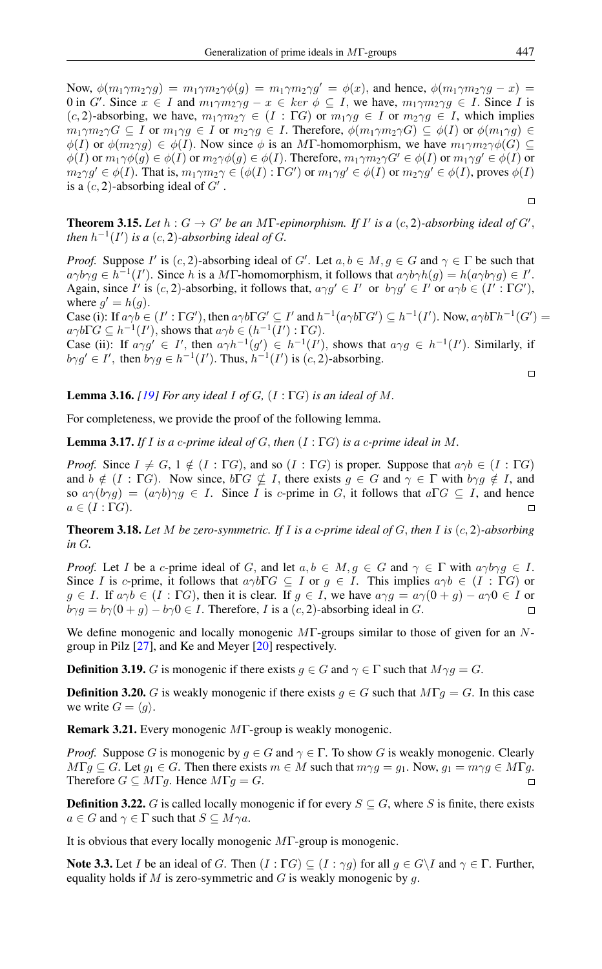Now,  $\phi(m_1\gamma m_2\gamma q) = m_1\gamma m_2\gamma\phi(q) = m_1\gamma m_2\gamma q' = \phi(x)$ , and hence,  $\phi(m_1\gamma m_2\gamma q - x) =$ 0 in G'. Since  $x \in I$  and  $m_1 \gamma m_2 \gamma g - x \in \ker \phi \subseteq I$ , we have,  $m_1 \gamma m_2 \gamma g \in I$ . Since I is  $(c, 2)$ -absorbing, we have,  $m_1 \gamma m_2 \gamma \in (I : \Gamma G)$  or  $m_1 \gamma g \in I$  or  $m_2 \gamma g \in I$ , which implies  $m_1 \gamma m_2 \gamma G \subseteq I$  or  $m_1 \gamma g \in I$  or  $m_2 \gamma g \in I$ . Therefore,  $\phi(m_1 \gamma m_2 \gamma G) \subseteq \phi(I)$  or  $\phi(m_1 \gamma g) \in$  $\phi(I)$  or  $\phi(m_2\gamma g) \in \phi(I)$ . Now since  $\phi$  is an MF-homomorphism, we have  $m_1\gamma m_2\gamma\phi(G) \subseteq$  $\phi(I)$  or  $m_1\gamma\phi(g) \in \phi(I)$  or  $m_2\gamma\phi(g) \in \phi(I)$ . Therefore,  $m_1\gamma m_2\gamma G' \in \phi(I)$  or  $m_1\gamma g' \in \phi(I)$  or  $m_2\gamma g' \in \phi(I)$ . That is,  $m_1\gamma m_2\gamma \in (\phi(I) : \Gamma G')$  or  $m_1\gamma g' \in \phi(I)$  or  $m_2\gamma g' \in \phi(I)$ , proves  $\phi(I)$ is a  $(c, 2)$ -absorbing ideal of  $G'$ .

**Theorem 3.15.** Let  $h: G \to G'$  be an MT-epimorphism. If I' is a  $(c, 2)$ -absorbing ideal of  $G'$ , *then*  $h^{-1}(I')$  *is a*  $(c, 2)$ -*absorbing ideal of G*.

*Proof.* Suppose I' is  $(c, 2)$ -absorbing ideal of G'. Let  $a, b \in M$ ,  $g \in G$  and  $\gamma \in \Gamma$  be such that  $a\gamma b\gamma g \in h^{-1}(I')$ . Since h is a MT-homomorphism, it follows that  $a\gamma b\gamma h(g) = h(a\gamma b\gamma g) \in I'$ . Again, since I' is  $(c, 2)$ -absorbing, it follows that,  $a \gamma g' \in I'$  or  $b \gamma g' \in I'$  or  $a \gamma b \in (I' : \Gamma G')$ , where  $g' = h(g)$ .

Case (i): If  $a\gamma b \in (I': \Gamma G')$ , then  $a\gamma b \Gamma G' \subseteq I'$  and  $h^{-1}(a\gamma b \Gamma G') \subseteq h^{-1}(I')$ . Now,  $a\gamma b \Gamma h^{-1}(G') =$  $a\gamma b \Gamma G \subseteq h^{-1}(I'),$  shows that  $a\gamma b \in (h^{-1}(I') : \Gamma G).$ 

Case (ii): If  $a \gamma g' \in I'$ , then  $a \gamma h^{-1}(g') \in h^{-1}(I')$ , shows that  $a \gamma g \in h^{-1}(I')$ . Similarly, if  $b \gamma g' \in I'$ , then  $b \gamma g \in h^{-1}(I')$ . Thus,  $h^{-1}(I')$  is  $(c, 2)$ -absorbing.

 $\Box$ 

<span id="page-4-2"></span>**Lemma 3.16.** *[\[19\]](#page-11-0) For any ideal I of*  $G$ *,*  $(I : \Gamma G)$  *is an ideal of*  $M$ *.* 

For completeness, we provide the proof of the following lemma.

<span id="page-4-1"></span>Lemma 3.17. *If* I *is a* c*-prime ideal of* G, *then* (I : ΓG) *is a* c*-prime ideal in* M*.*

*Proof.* Since  $I \neq G$ ,  $1 \notin (I : \Gamma G)$ , and so  $(I : \Gamma G)$  is proper. Suppose that  $a \gamma b \in (I : \Gamma G)$ and  $b \notin (I : \Gamma G)$ . Now since,  $b \Gamma G \nsubseteq I$ , there exists  $g \in G$  and  $\gamma \in \Gamma$  with  $b \gamma g \notin I$ , and so  $a\gamma(b\gamma g) = (a\gamma b)\gamma g \in I$ . Since I is c-prime in G, it follows that  $a\Gamma G \subseteq I$ , and hence  $a \in (I : \Gamma G).$ 

<span id="page-4-3"></span>Theorem 3.18. *Let* M *be zero-symmetric. If* I *is a* c*-prime ideal of* G, *then* I *is* (c, 2)*-absorbing in* G*.*

*Proof.* Let *I* be a c-prime ideal of G, and let  $a, b \in M, g \in G$  and  $\gamma \in \Gamma$  with  $a\gamma b\gamma g \in I$ . Since I is c-prime, it follows that  $a\gamma b\Gamma G \subseteq I$  or  $g \in I$ . This implies  $a\gamma b \in (I : \Gamma G)$  or  $g \in I$ . If  $a\gamma b \in (I : \Gamma G)$ , then it is clear. If  $g \in I$ , we have  $a\gamma g = a\gamma(0+g) - a\gamma 0 \in I$  or  $b \gamma g = b \gamma (0 + g) - b \gamma 0 \in I$ . Therefore, I is a  $(c, 2)$ -absorbing ideal in G.

We define monogenic and locally monogenic MΓ-groups similar to those of given for an Ngroup in Pilz [\[27\]](#page-11-7), and Ke and Meyer [\[20\]](#page-11-8) respectively.

**Definition 3.19.** G is monogenic if there exists  $g \in G$  and  $\gamma \in \Gamma$  such that  $M \gamma g = G$ .

**Definition 3.20.** G is weakly monogenic if there exists  $g \in G$  such that  $M\Gamma g = G$ . In this case we write  $G = \langle g \rangle$ .

Remark 3.21. Every monogenic MΓ-group is weakly monogenic.

*Proof.* Suppose G is monogenic by  $g \in G$  and  $\gamma \in \Gamma$ . To show G is weakly monogenic. Clearly  $M\Gamma g \subseteq G$ . Let  $g_1 \in G$ . Then there exists  $m \in M$  such that  $m\gamma g = g_1$ . Now,  $g_1 = m\gamma g \in M\Gamma g$ . Therefore  $G \subseteq M\Gamma g$ . Hence  $M\Gamma g = G$ .  $\Box$ 

**Definition 3.22.** G is called locally monogenic if for every  $S \subseteq G$ , where S is finite, there exists  $a \in G$  and  $\gamma \in \Gamma$  such that  $S \subseteq M \gamma a$ .

It is obvious that every locally monogenic MΓ-group is monogenic.

<span id="page-4-0"></span>**Note 3.3.** Let I be an ideal of G. Then  $(I : \Gamma G) \subseteq (I : \gamma g)$  for all  $g \in G \setminus I$  and  $\gamma \in \Gamma$ . Further, equality holds if M is zero-symmetric and G is weakly monogenic by g.

 $\Box$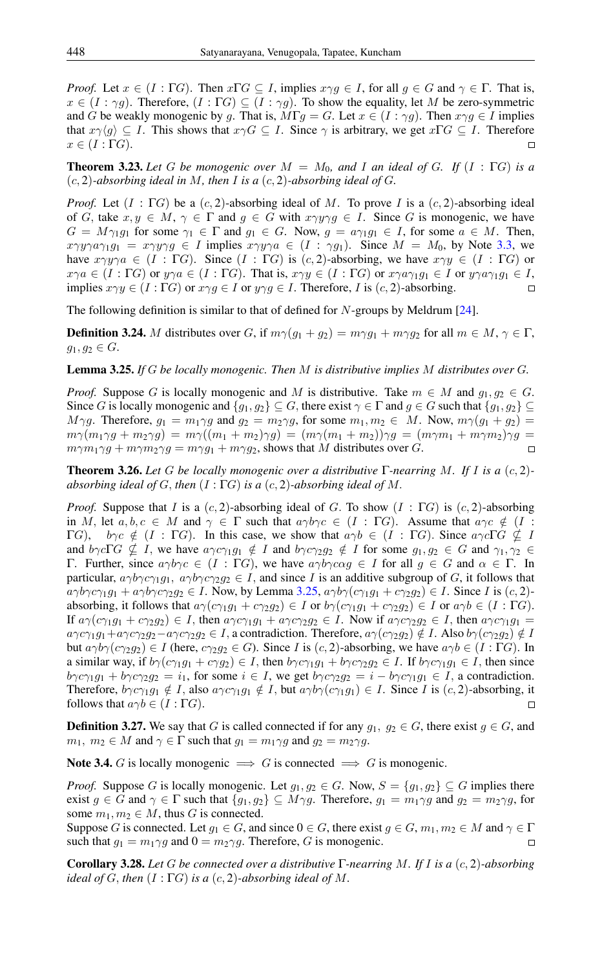*Proof.* Let  $x \in (I : \Gamma G)$ . Then  $x \Gamma G \subseteq I$ , implies  $x \gamma g \in I$ , for all  $g \in G$  and  $\gamma \in \Gamma$ . That is,  $x \in (I : \gamma q)$ . Therefore,  $(I : \Gamma G) \subseteq (I : \gamma q)$ . To show the equality, let M be zero-symmetric and G be weakly monogenic by g. That is,  $M\Gamma g = G$ . Let  $x \in (I : \gamma g)$ . Then  $x \gamma g \in I$  implies that  $x\gamma\langle g \rangle \subseteq I$ . This shows that  $x\gamma G \subseteq I$ . Since  $\gamma$  is arbitrary, we get  $x\Gamma G \subseteq I$ . Therefore  $x \in (I : \Gamma G).$ 

**Theorem 3.23.** Let G be monogenic over  $M = M_0$ , and I an ideal of G. If  $(I : \Gamma G)$  is a  $(c, 2)$ -absorbing ideal in M, then I is a  $(c, 2)$ -absorbing ideal of G.

*Proof.* Let  $(I : \Gamma G)$  be a  $(c, 2)$ -absorbing ideal of M. To prove I is a  $(c, 2)$ -absorbing ideal of G, take  $x, y \in M$ ,  $\gamma \in \Gamma$  and  $g \in G$  with  $x \gamma y \gamma g \in I$ . Since G is monogenic, we have  $G = M \gamma_1 g_1$  for some  $\gamma_1 \in \Gamma$  and  $g_1 \in G$ . Now,  $g = a \gamma_1 g_1 \in I$ , for some  $a \in M$ . Then,  $x\gamma y\gamma a\gamma_1 g_1 = x\gamma y\gamma g \in I$  implies  $x\gamma y\gamma a \in (I : \gamma g_1)$ . Since  $M = M_0$ , by Note [3.3,](#page-4-0) we have  $x\gamma y\gamma a \in (I : \Gamma G)$ . Since  $(I : \Gamma G)$  is  $(c, 2)$ -absorbing, we have  $x\gamma y \in (I : \Gamma G)$  or  $x\gamma a \in (I : \Gamma G)$  or  $y\gamma a \in (I : \Gamma G)$ . That is,  $x\gamma y \in (I : \Gamma G)$  or  $x\gamma a\gamma_1 g_1 \in I$  or  $y\gamma a\gamma_1 g_1 \in I$ ,<br>implies  $x\gamma v \in (I : \Gamma G)$  or  $x\gamma a \in I$  or  $y\gamma a \in I$ . Therefore, I is  $(c, 2)$ -absorbing. implies  $x \gamma y \in (I : \Gamma G)$  or  $x \gamma g \in I$  or  $y \gamma g \in I$ . Therefore, I is  $(c, 2)$ -absorbing.

The following definition is similar to that of defined for N-groups by Meldrum [\[24\]](#page-11-9).

**Definition 3.24.** M distributes over G, if  $m\gamma(q_1 + q_2) = m\gamma q_1 + m\gamma q_2$  for all  $m \in M$ ,  $\gamma \in \Gamma$ ,  $g_1, g_2 \in G$ .

<span id="page-5-0"></span>Lemma 3.25. *If* G *be locally monogenic. Then* M *is distributive implies* M *distributes over* G*.*

*Proof.* Suppose G is locally monogenic and M is distributive. Take  $m \in M$  and  $q_1, q_2 \in G$ . Since G is locally monogenic and  $\{g_1, g_2\} \subseteq G$ , there exist  $\gamma \in \Gamma$  and  $g \in G$  such that  $\{g_1, g_2\} \subseteq G$  $M\gamma g$ . Therefore,  $g_1 = m_1\gamma g$  and  $g_2 = m_2\gamma g$ , for some  $m_1, m_2 \in M$ . Now,  $m\gamma (g_1 + g_2) =$  $m\gamma(m_1\gamma g + m_2\gamma g) = m\gamma((m_1 + m_2)\gamma g) = (m\gamma(m_1 + m_2))\gamma g = (m\gamma m_1 + m\gamma m_2)\gamma g =$  $m\gamma m_1\gamma g + m\gamma m_2\gamma g = m\gamma g_1 + m\gamma g_2$ , shows that M distributes over G.  $\Box$ 

<span id="page-5-1"></span>Theorem 3.26. *Let* G *be locally monogenic over a distributive* Γ*-nearring* M*. If* I *is a* (c, 2) *absorbing ideal of* G, *then* (I : ΓG) *is a* (c, 2)*-absorbing ideal of* M.

*Proof.* Suppose that I is a  $(c, 2)$ -absorbing ideal of G. To show  $(I : \Gamma G)$  is  $(c, 2)$ -absorbing in M, let  $a, b, c \in M$  and  $\gamma \in \Gamma$  such that  $a\gamma b\gamma c \in (I : \Gamma G)$ . Assume that  $a\gamma c \notin (I : \Gamma G)$  $\Gamma$ G),  $b\gamma c \notin (I : \Gamma G)$ . In this case, we show that  $a\gamma b \in (I : \Gamma G)$ . Since  $a\gamma c\Gamma G \nsubseteq I$ and  $b\gamma c\Gamma G \nsubseteq I$ , we have  $a\gamma c\gamma_1g_1 \notin I$  and  $b\gamma c\gamma_2g_2 \notin I$  for some  $g_1, g_2 \in G$  and  $\gamma_1, \gamma_2 \in I$ Γ. Further, since  $\alpha \gamma b \gamma c \in (I : \Gamma G)$ , we have  $\alpha \gamma b \gamma c \alpha g \in I$  for all  $g \in G$  and  $\alpha \in \Gamma$ . In particular,  $a\gamma b\gamma c\gamma_1 g_1$ ,  $a\gamma b\gamma c\gamma_2 g_2 \in I$ , and since I is an additive subgroup of G, it follows that  $a\gamma b\gamma c\gamma_1 g_1 + a\gamma b\gamma c\gamma_2 g_2 \in I$ . Now, by Lemma [3.25,](#page-5-0)  $a\gamma b\gamma (c\gamma_1 g_1 + c\gamma_2 g_2) \in I$ . Since I is  $(c, 2)$ absorbing, it follows that  $a\gamma(c\gamma_1g_1 + c\gamma_2g_2) \in I$  or  $b\gamma(c\gamma_1g_1 + c\gamma_2g_2) \in I$  or  $a\gamma b \in (I : \Gamma G)$ . If  $a\gamma(c\gamma_1g_1 + c\gamma_2g_2) \in I$ , then  $a\gamma c\gamma_1g_1 + a\gamma c\gamma_2g_2 \in I$ . Now if  $a\gamma c\gamma_2g_2 \in I$ , then  $a\gamma c\gamma_1g_1 =$  $a\gamma c\gamma_1 g_1 + a\gamma c\gamma_2 g_2 - a\gamma c\gamma_2 g_2 \in I$ , a contradiction. Therefore,  $a\gamma (c\gamma_2 g_2) \notin I$ . Also  $b\gamma (c\gamma_2 g_2) \notin I$ but  $a\gamma b\gamma(c\gamma_2g_2) \in I$  (here,  $c\gamma_2g_2 \in G$ ). Since I is  $(c, 2)$ -absorbing, we have  $a\gamma b \in (I : \Gamma G)$ . In a similar way, if  $b\gamma(c\gamma_1g_1 + c\gamma g_2) \in I$ , then  $b\gamma c\gamma_1g_1 + b\gamma c\gamma_2g_2 \in I$ . If  $b\gamma c\gamma_1g_1 \in I$ , then since  $b\gamma c\gamma_1 g_1 + b\gamma c\gamma_2 g_2 = i_1$ , for some  $i \in I$ , we get  $b\gamma c\gamma_2 g_2 = i - b\gamma c\gamma_1 g_1 \in I$ , a contradiction. Therefore,  $b\gamma c\gamma_1g_1 \notin I$ , also  $a\gamma c\gamma_1g_1 \notin I$ , but  $a\gamma b\gamma(c\gamma_1g_1) \in I$ . Since I is  $(c, 2)$ -absorbing, it follows that  $a\gamma b \in (I : \Gamma G)$ .  $\Box$ 

**Definition 3.27.** We say that G is called connected if for any  $g_1$ ,  $g_2 \in G$ , there exist  $g \in G$ , and  $m_1, m_2 \in M$  and  $\gamma \in \Gamma$  such that  $g_1 = m_1 \gamma g$  and  $g_2 = m_2 \gamma g$ .

Note 3.4. G is locally monogenic  $\implies G$  is connected  $\implies G$  is monogenic.

*Proof.* Suppose G is locally monogenic. Let  $g_1, g_2 \in G$ . Now,  $S = \{g_1, g_2\} \subseteq G$  implies there exist  $g \in G$  and  $\gamma \in \Gamma$  such that  $\{g_1, g_2\} \subseteq M\gamma g$ . Therefore,  $g_1 = m_1 \gamma g$  and  $g_2 = m_2 \gamma g$ , for some  $m_1, m_2 \in M$ , thus G is connected.

Suppose G is connected. Let  $g_1 \in G$ , and since  $0 \in G$ , there exist  $g \in G$ ,  $m_1, m_2 \in M$  and  $\gamma \in \Gamma$ such that  $g_1 = m_1 \gamma g$  and  $0 = m_2 \gamma g$ . Therefore, G is monogenic.

Corollary 3.28. *Let* G *be connected over a distributive* Γ*-nearring* M*. If* I *is a* (c, 2)*-absorbing ideal of* G, then  $(I : \Gamma G)$  *is a*  $(c, 2)$ *-absorbing ideal of* M.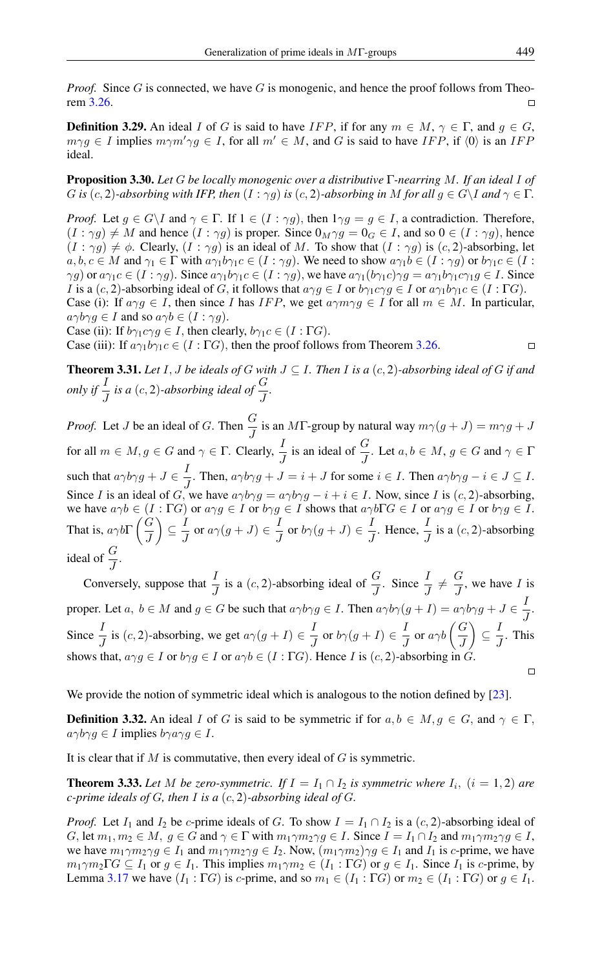*Proof.* Since G is connected, we have G is monogenic, and hence the proof follows from Theorem [3.26.](#page-5-1)  $\Box$ 

**Definition 3.29.** An ideal I of G is said to have IFP, if for any  $m \in M$ ,  $\gamma \in \Gamma$ , and  $q \in G$ ,  $m\gamma g \in I$  implies  $m\gamma m'\gamma g \in I$ , for all  $m' \in M$ , and G is said to have IFP, if  $\langle 0 \rangle$  is an IFP ideal.

Proposition 3.30. *Let* G *be locally monogenic over a distributive* Γ*-nearring* M*. If an ideal* I *of* G *is* (c, 2)*-absorbing with IFP, then*  $(I : \gamma q)$  *is* (c, 2)*-absorbing in* M *for all*  $q \in G\setminus I$  *and*  $\gamma \in \Gamma$ *.* 

*Proof.* Let  $g \in G \backslash I$  and  $\gamma \in \Gamma$ . If  $1 \in (I : \gamma g)$ , then  $1 \gamma g = g \in I$ , a contradiction. Therefore,  $(I : \gamma g) \neq M$  and hence  $(I : \gamma g)$  is proper. Since  $0_M \gamma g = 0_G \in I$ , and so  $0 \in (I : \gamma g)$ , hence  $(I : \gamma g) \neq \phi$ . Clearly,  $(I : \gamma g)$  is an ideal of M. To show that  $(I : \gamma g)$  is  $(c, 2)$ -absorbing, let  $a, b, c \in M$  and  $\gamma_1 \in \Gamma$  with  $a\gamma_1b\gamma_1c \in (I : \gamma g)$ . We need to show  $a\gamma_1b \in (I : \gamma g)$  or  $b\gamma_1c \in (I : \gamma g)$  $\gamma g$ ) or  $a\gamma_1c \in (I : \gamma g)$ . Since  $a\gamma_1b\gamma_1c \in (I : \gamma g)$ , we have  $a\gamma_1(b\gamma_1c)\gamma_1g = a\gamma_1b\gamma_1c\gamma_1g \in I$ . Since *I* is a  $(c, 2)$ -absorbing ideal of G, it follows that  $a \gamma g \in I$  or  $b \gamma_1 c \gamma g \in I$  or  $a \gamma_1 b \gamma_1 c \in (I : \Gamma G)$ .

Case (i): If  $a \gamma g \in I$ , then since I has IFP, we get  $a \gamma m \gamma g \in I$  for all  $m \in M$ . In particular,  $a\gamma b\gamma g \in I$  and so  $a\gamma b \in (I : \gamma g)$ .

Case (ii): If  $b\gamma_1c\gamma g \in I$ , then clearly,  $b\gamma_1c \in (I : \Gamma G)$ .

Case (iii): If  $a\gamma_1b\gamma_1c \in (I : \Gamma G)$ , then the proof follows from Theorem [3.26.](#page-5-1)

 $\Box$ 

**Theorem 3.31.** *Let* I, *J be ideals of* G *with*  $J \subseteq I$ *. Then* I *is a*  $(c, 2)$ *-absorbing ideal of* G *if and* only if  $\frac{I}{J}$  is a (c, 2)-absorbing ideal of  $\frac{G}{J}$ .

*Proof.* Let *J* be an ideal of *G*. Then  $\frac{G}{I}$  is an *M*F-group by natural way  $m\gamma(g + J) = m\gamma g + J$ for all  $m \in M$ ,  $g \in G$  and  $\gamma \in \Gamma$ . Clearly,  $\frac{I}{J}$  is an ideal of  $\frac{G}{J}$ . Let  $a, b \in M$ ,  $g \in G$  and  $\gamma \in \Gamma$ such that  $a\gamma b\gamma g + J \in \frac{I}{I}$  $\frac{1}{J}$ . Then,  $a\gamma b\gamma g + J = i + J$  for some  $i \in I$ . Then  $a\gamma b\gamma g - i \in J \subseteq I$ . Since I is an ideal of G, we have  $a\gamma b\gamma g = a\gamma b\gamma g - i + i \in I$ . Now, since I is  $(c, 2)$ -absorbing, we have  $a\gamma b \in (I : \Gamma G)$  or  $a\gamma g \in I$  or  $b\gamma g \in I$  shows that  $a\gamma b\Gamma G \in I$  or  $a\gamma g \in I$  or  $b\gamma g \in I$ . That is,  $a\gamma b\Gamma\left(\frac{G}{I}\right)$ J  $\Big) \subseteq \frac{I}{I}$  $\frac{I}{J}$  or  $a\gamma(g+J) \in \frac{I}{J}$  $\frac{I}{J}$  or  $b\gamma(g+J) \in \frac{I}{J}$  $\frac{I}{J}$ . Hence,  $\frac{I}{J}$  is a  $(c, 2)$ -absorbing ideal of  $\frac{G}{I}$ .

Conversely, suppose that  $\frac{I}{J}$  is a  $(c, 2)$ -absorbing ideal of  $\frac{G}{J}$ . Since  $\frac{I}{J} \neq \frac{G}{J}$  $\frac{a}{J}$ , we have I is proper. Let  $a, b \in M$  and  $g \in G$  be such that  $a\gamma b\gamma g \in I$ . Then  $a\gamma b\gamma (g + I) = a\gamma b\gamma g + J \in \frac{I}{I}$  $\frac{1}{J}$ . Since  $\frac{I}{J}$  is  $(c, 2)$ -absorbing, we get  $a\gamma(g+I) \in \frac{I}{J}$  $\frac{I}{J}$  or  $b\gamma(g+I) \in \frac{I}{J}$  $rac{I}{J}$  or  $a\gamma b\left(\frac{G}{J}\right)$  $\Big) \subseteq \frac{1}{2}$  $\frac{1}{J}$ . This J shows that,  $a \gamma g \in I$  or  $b \gamma g \in I$  or  $a \gamma b \in (I : \Gamma G)$ . Hence I is  $(c, 2)$ -absorbing in G.  $\Box$ 

We provide the notion of symmetric ideal which is analogous to the notion defined by [\[23\]](#page-11-10).

**Definition 3.32.** An ideal I of G is said to be symmetric if for  $a, b \in M, g \in G$ , and  $\gamma \in \Gamma$ ,  $a\gamma b\gamma g \in I$  implies  $b\gamma a\gamma g \in I$ .

It is clear that if  $M$  is commutative, then every ideal of  $G$  is symmetric.

<span id="page-6-0"></span>**Theorem 3.33.** Let M be zero-symmetric. If  $I = I_1 \cap I_2$  is symmetric where  $I_i$ ,  $(i = 1, 2)$  are *c-prime ideals of* G*, then* I *is a* (c, 2)*-absorbing ideal of* G*.*

*Proof.* Let  $I_1$  and  $I_2$  be c-prime ideals of G. To show  $I = I_1 \cap I_2$  is a  $(c, 2)$ -absorbing ideal of G, let  $m_1, m_2 \in M$ ,  $g \in G$  and  $\gamma \in \Gamma$  with  $m_1 \gamma m_2 \gamma g \in I$ . Since  $I = I_1 \cap I_2$  and  $m_1 \gamma m_2 \gamma g \in I$ , we have  $m_1 \gamma m_2 \gamma g \in I_1$  and  $m_1 \gamma m_2 \gamma g \in I_2$ . Now,  $(m_1 \gamma m_2) \gamma g \in I_1$  and  $I_1$  is c-prime, we have  $m_1 \gamma m_2 \Gamma G \subseteq I_1$  or  $g \in I_1$ . This implies  $m_1 \gamma m_2 \in (I_1 : \Gamma G)$  or  $g \in I_1$ . Since  $I_1$  is c-prime, by Lemma [3.17](#page-4-1) we have  $(I_1: \Gamma G)$  is c-prime, and so  $m_1 \in (I_1: \Gamma G)$  or  $m_2 \in (I_1: \Gamma G)$  or  $g \in I_1$ .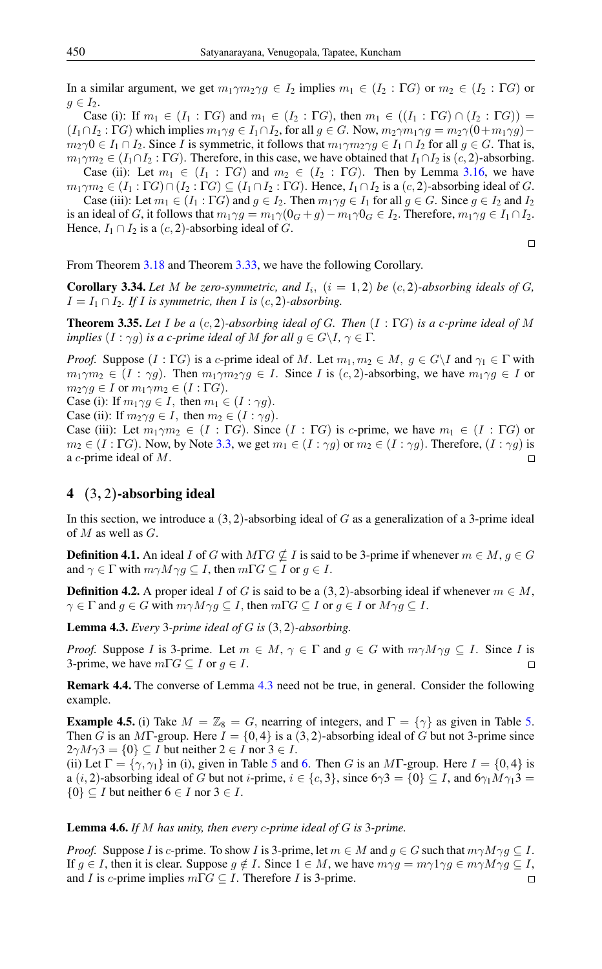In a similar argument, we get  $m_1 \gamma m_2 \gamma q \in I_2$  implies  $m_1 \in (I_2 : \Gamma G)$  or  $m_2 \in (I_2 : \Gamma G)$  or  $q \in I_2$ .

Case (i): If  $m_1 \in (I_1 : \Gamma G)$  and  $m_1 \in (I_2 : \Gamma G)$ , then  $m_1 \in ((I_1 : \Gamma G) \cap (I_2 : \Gamma G))$  =  $(I_1 \cap I_2 : \Gamma G)$  which implies  $m_1 \gamma g \in I_1 \cap I_2$ , for all  $g \in G$ . Now,  $m_2 \gamma m_1 \gamma g = m_2 \gamma (0 + m_1 \gamma g)$  $m_2\gamma 0 \in I_1 \cap I_2$ . Since I is symmetric, it follows that  $m_1\gamma m_2\gamma g \in I_1 \cap I_2$  for all  $g \in G$ . That is,  $m_1 \gamma m_2 \in (I_1 \cap I_2 : \Gamma G)$ . Therefore, in this case, we have obtained that  $I_1 \cap I_2$  is  $(c, 2)$ -absorbing.

Case (ii): Let  $m_1 \in (I_1 : \Gamma G)$  and  $m_2 \in (I_2 : \Gamma G)$ . Then by Lemma [3.16,](#page-4-2) we have  $m_1 \gamma m_2 \in (I_1 : \Gamma G) \cap (I_2 : \Gamma G) \subseteq (I_1 \cap I_2 : \Gamma G)$ . Hence,  $I_1 \cap I_2$  is a  $(c, 2)$ -absorbing ideal of G.

Case (iii): Let  $m_1 \in (I_1 : \Gamma G)$  and  $g \in I_2$ . Then  $m_1 \gamma g \in I_1$  for all  $g \in G$ . Since  $g \in I_2$  and  $I_2$ is an ideal of G, it follows that  $m_1 \gamma g = m_1 \gamma (0_G + g) - m_1 \gamma 0_G \in I_2$ . Therefore,  $m_1 \gamma g \in I_1 \cap I_2$ . Hence,  $I_1 \cap I_2$  is a  $(c, 2)$ -absorbing ideal of G.

 $\Box$ 

From Theorem [3.18](#page-4-3) and Theorem [3.33,](#page-6-0) we have the following Corollary.

**Corollary 3.34.** Let M be zero-symmetric, and  $I_i$ ,  $(i = 1, 2)$  be  $(c, 2)$ -absorbing ideals of G,  $I = I_1 \cap I_2$ *. If I is symmetric, then I is* (*c*, 2)*-absorbing.* 

Theorem 3.35. *Let* I *be a* (c, 2)*-absorbing ideal of* G*. Then* (I : ΓG) *is a c-prime ideal of* M *implies*  $(I : \gamma g)$  *is a c-prime ideal of* M *for all*  $g \in G \backslash I$ ,  $\gamma \in \Gamma$ *.* 

*Proof.* Suppose  $(I : \Gamma G)$  is a c-prime ideal of M. Let  $m_1, m_2 \in M$ ,  $g \in G\backslash I$  and  $\gamma_1 \in \Gamma$  with  $m_1 \gamma m_2 \in (I : \gamma g)$ . Then  $m_1 \gamma m_2 \gamma g \in I$ . Since I is  $(c, 2)$ -absorbing, we have  $m_1 \gamma g \in I$  or  $m_2 \gamma g \in I$  or  $m_1 \gamma m_2 \in (I : \Gamma G)$ . Case (i): If  $m_1 \gamma q \in I$ , then  $m_1 \in (I : \gamma q)$ .

Case (ii): If  $m_2 \gamma q \in I$ , then  $m_2 \in (I : \gamma q)$ .

Case (iii): Let  $m_1 \gamma m_2 \in (I : \Gamma G)$ . Since  $(I : \Gamma G)$  is c-prime, we have  $m_1 \in (I : \Gamma G)$  or  $m_2 \in (I : \Gamma G)$ . Now, by Note [3.3,](#page-4-0) we get  $m_1 \in (I : \gamma g)$  or  $m_2 \in (I : \gamma g)$ . Therefore,  $(I : \gamma g)$  is a c-prime ideal of M.  $\Box$ 

## 4 (3, 2)-absorbing ideal

In this section, we introduce a  $(3, 2)$ -absorbing ideal of G as a generalization of a 3-prime ideal of M as well as  $G$ .

**Definition 4.1.** An ideal I of G with MTG  $\nsubseteq$  I is said to be 3-prime if whenever  $m \in M$ ,  $g \in G$ and  $\gamma \in \Gamma$  with  $m\gamma M \gamma g \subseteq I$ , then  $m\Gamma G \subseteq I$  or  $g \in I$ .

**Definition 4.2.** A proper ideal I of G is said to be a  $(3, 2)$ -absorbing ideal if whenever  $m \in M$ ,  $\gamma \in \Gamma$  and  $g \in G$  with  $m\gamma M \gamma g \subseteq I$ , then  $m\Gamma G \subseteq I$  or  $g \in I$  or  $M \gamma g \subseteq I$ .

<span id="page-7-0"></span>Lemma 4.3. *Every* 3*-prime ideal of* G *is* (3, 2)*-absorbing.*

*Proof.* Suppose I is 3-prime. Let  $m \in M$ ,  $\gamma \in \Gamma$  and  $g \in G$  with  $m\gamma M \gamma g \subseteq I$ . Since I is 3-prime, we have  $m\Gamma G \subseteq I$  or  $g \in I$ .

Remark 4.4. The converse of Lemma [4.3](#page-7-0) need not be true, in general. Consider the following example.

**Example 4.[5.](#page-8-0)** (i) Take  $M = \mathbb{Z}_8 = G$ , nearring of integers, and  $\Gamma = \{ \gamma \}$  as given in Table 5. Then G is an MT-group. Here  $I = \{0, 4\}$  is a  $(3, 2)$ -absorbing ideal of G but not 3-prime since  $2\gamma M \gamma 3 = \{0\} \subseteq I$  but neither  $2 \in I$  nor  $3 \in I$ .

(ii) Let  $\Gamma = \{\gamma, \gamma_1\}$  in (i), given in Table [5](#page-8-0) and [6.](#page-8-1) Then G is an MT-group. Here  $I = \{0, 4\}$  is a  $(i, 2)$ -absorbing ideal of G but not *i*-prime,  $i \in \{c, 3\}$ , since  $6\gamma3 = \{0\} \subseteq I$ , and  $6\gamma_1 M \gamma_1 3 =$  $\{0\} \subseteq I$  but neither  $6 \in I$  nor  $3 \in I$ .

#### <span id="page-7-1"></span>Lemma 4.6. *If* M *has unity, then every* c*-prime ideal of* G *is* 3*-prime.*

*Proof.* Suppose I is c-prime. To show I is 3-prime, let  $m \in M$  and  $g \in G$  such that  $m\gamma M \gamma g \subseteq I$ . If  $g \in I$ , then it is clear. Suppose  $g \notin I$ . Since  $1 \in M$ , we have  $m \gamma g = m \gamma \gamma g \gamma g \in m \gamma M \gamma g \subseteq I$ , and *I* is *c*-prime implies  $m\Gamma G \subseteq I$ . Therefore *I* is 3-prime.  $\Box$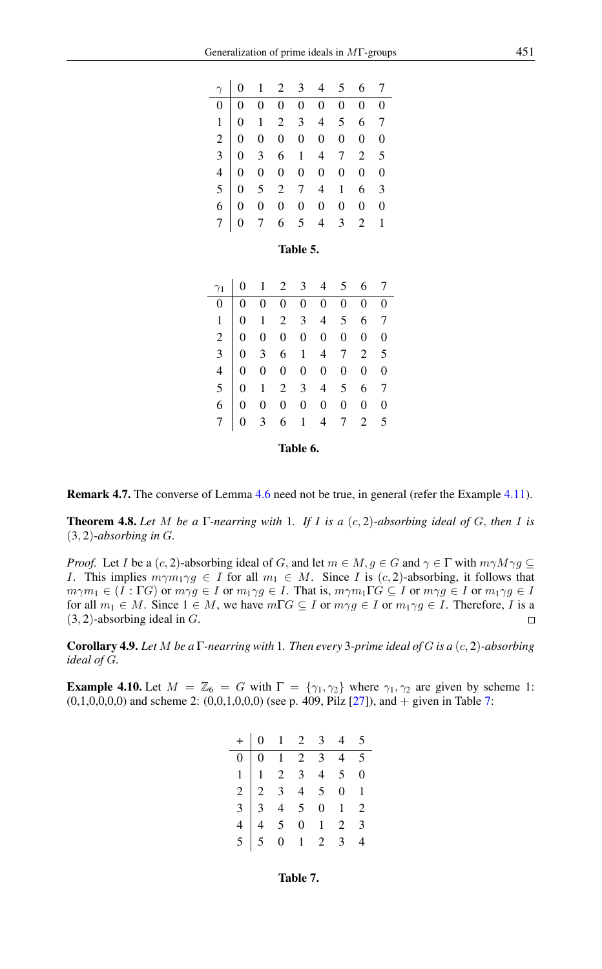|  |  |  | $\begin{tabular}{c cccccc} $\gamma$ & 0 & 1 & 2 & 3 & 4 & 5 & 6 & 7 \\ \hline 0 & 0 & 0 & 0 & 0 & 0 & 0 & 0 & 0 \\ 1 & 0 & 1 & 2 & 3 & 4 & 5 & 6 & 7 \\ 2 & 0 & 0 & 0 & 0 & 0 & 0 & 0 & 0 \\ 3 & 0 & 3 & 6 & 1 & 4 & 7 & 2 & 5 \\ 4 & 0 & 0 & 0 & 0 & 0 & 0 & 0 & 0 \\ 5 & 0 & 5 & 2 & 7 & 4 & 1 & 6 & 3 \\ 6 & 0 & 0 & 0 & 0 & $ |  |
|--|--|--|-----------------------------------------------------------------------------------------------------------------------------------------------------------------------------------------------------------------------------------------------------------------------------------------------------------------------------------|--|
|  |  |  |                                                                                                                                                                                                                                                                                                                                   |  |
|  |  |  |                                                                                                                                                                                                                                                                                                                                   |  |
|  |  |  |                                                                                                                                                                                                                                                                                                                                   |  |
|  |  |  |                                                                                                                                                                                                                                                                                                                                   |  |
|  |  |  |                                                                                                                                                                                                                                                                                                                                   |  |
|  |  |  |                                                                                                                                                                                                                                                                                                                                   |  |
|  |  |  |                                                                                                                                                                                                                                                                                                                                   |  |
|  |  |  |                                                                                                                                                                                                                                                                                                                                   |  |
|  |  |  |                                                                                                                                                                                                                                                                                                                                   |  |

<span id="page-8-0"></span>Table 5.

<span id="page-8-1"></span>

| $\gamma_1$       | 0        | 1 | 2 | 3 | 4 | 5                | 6              |                |
|------------------|----------|---|---|---|---|------------------|----------------|----------------|
| $\boldsymbol{0}$ | 0        | 0 | 0 | 0 | 0 | $\boldsymbol{0}$ | $\overline{0}$ | $\overline{0}$ |
| 1                | 0        | 1 | 2 | 3 | 4 | 5                | 6              | 7              |
| $\overline{c}$   | 0        | 0 | 0 | 0 | 0 | 0                | 0              | $\theta$       |
| 3                | 0        | 3 | 6 | 1 | 4 | 7                | $\overline{2}$ | 5              |
| 4                | 0        | 0 | 0 | 0 | 0 | 0                | 0              | $\theta$       |
| 5                | 0        | 1 | 2 | 3 | 4 | 5                | 6              |                |
| 6                | 0        | 0 | 0 | 0 | 0 | 0                | 0              | $\overline{0}$ |
|                  | 0        | 3 | 6 | 1 | 4 | 7                | $\overline{2}$ | 5              |
|                  | Table 6. |   |   |   |   |                  |                |                |

Remark 4.7. The converse of Lemma [4.6](#page-7-1) need not be true, in general (refer the Example [4.11\)](#page-9-0).

Theorem 4.8. *Let* M *be a* Γ*-nearring with* 1*. If* I *is a* (c, 2)*-absorbing ideal of* G, *then* I *is* (3, 2)*-absorbing in* G*.*

*Proof.* Let *I* be a  $(c, 2)$ -absorbing ideal of *G*, and let  $m \in M$ ,  $g \in G$  and  $\gamma \in \Gamma$  with  $m\gamma M\gamma g \subseteq$ I. This implies  $m\gamma m_1\gamma g \in I$  for all  $m_1 \in M$ . Since I is  $(c, 2)$ -absorbing, it follows that  $m\gamma m_1 \in (I : \Gamma G)$  or  $m\gamma g \in I$  or  $m_1 \gamma g \in I$ . That is,  $m\gamma m_1 \Gamma G \subseteq I$  or  $m\gamma g \in I$  or  $m_1 \gamma g \in I$ for all  $m_1 \in M$ . Since  $1 \in M$ , we have  $m\Gamma G \subseteq I$  or  $m\gamma g \in I$  or  $m_1 \gamma g \in I$ . Therefore, I is a  $(3, 2)$ -absorbing ideal in G.  $\Box$ 

Corollary 4.9. *Let* M *be a* Γ*-nearring with* 1*. Then every* 3*-prime ideal of* G *is a* (c, 2)*-absorbing ideal of* G*.*

**Example 4.10.** Let  $M = \mathbb{Z}_6 = G$  with  $\Gamma = \{\gamma_1, \gamma_2\}$  where  $\gamma_1, \gamma_2$  are given by scheme 1:  $(0,1,0,0,0,0)$  and scheme 2:  $(0,0,1,0,0,0)$  (see p. 409, Pilz [\[27\]](#page-11-7)), and + given in Table [7:](#page-8-2)

<span id="page-8-2"></span>

|  | $+ 0 1 2 3 4 5$ |  |  |
|--|-----------------|--|--|
|  |                 |  |  |
|  |                 |  |  |
|  |                 |  |  |
|  |                 |  |  |
|  |                 |  |  |
|  |                 |  |  |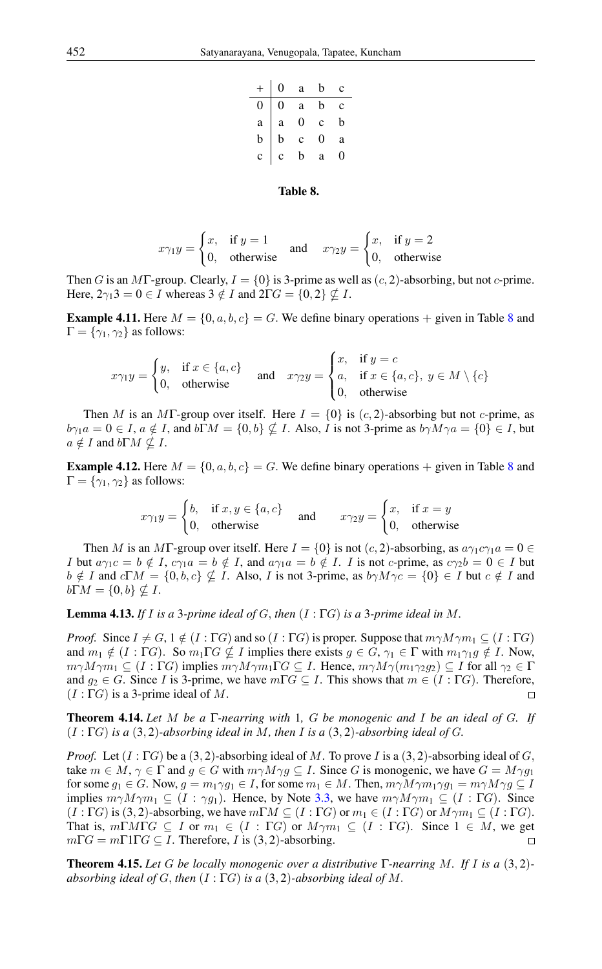| $+$          | $\overline{0}$ | $\rm{a}$       | $\mathbf b$  | c |
|--------------|----------------|----------------|--------------|---|
| 0            | 0              | $\mathbf{a}$   | $\mathbf b$  | C |
| $\mathbf{a}$ | $\mathbf{a}$   | $\overline{0}$ | $\mathbf{c}$ | b |
| $\mathbf b$  | $\mathbf b$    | $\mathbf{c}$   | 0            | a |
| $\mathbf{c}$ | $\mathbf{c}$   | b              | a            |   |

#### <span id="page-9-1"></span>Table 8.

$$
x\gamma_1 y = \begin{cases} x, & \text{if } y = 1 \\ 0, & \text{otherwise} \end{cases} \quad \text{and} \quad x\gamma_2 y = \begin{cases} x, & \text{if } y = 2 \\ 0, & \text{otherwise} \end{cases}
$$

Then G is an MT-group. Clearly,  $I = \{0\}$  is 3-prime as well as  $(c, 2)$ -absorbing, but not c-prime. Here,  $2\gamma_1 3 = 0 \in I$  whereas  $3 \notin I$  and  $2\Gamma G = \{0, 2\} \nsubseteq I$ .

<span id="page-9-0"></span>**Example 4.11.** Here  $M = \{0, a, b, c\} = G$ . We define binary operations  $+$  given in Table [8](#page-9-1) and  $\Gamma = \{\gamma_1, \gamma_2\}$  as follows:

$$
x\gamma_1 y = \begin{cases} y, & \text{if } x \in \{a, c\} \\ 0, & \text{otherwise} \end{cases} \quad \text{and} \quad x\gamma_2 y = \begin{cases} x, & \text{if } y = c \\ a, & \text{if } x \in \{a, c\}, \ y \in M \setminus \{c\} \\ 0, & \text{otherwise} \end{cases}
$$

Then M is an MF-group over itself. Here  $I = \{0\}$  is  $(c, 2)$ -absorbing but not c-prime, as  $b\gamma_1a = 0 \in I$ ,  $a \notin I$ , and  $b\Gamma M = \{0, b\} \nsubseteq I$ . Also, I is not 3-prime as  $b\gamma M\gamma a = \{0\} \in I$ , but  $a \notin I$  and  $b\Gamma M \nsubseteq I$ .

**Example 4.12.** Here  $M = \{0, a, b, c\} = G$ . We define binary operations  $+$  given in Table [8](#page-9-1) and  $\Gamma = \{\gamma_1, \gamma_2\}$  as follows:

$$
x\gamma_1 y = \begin{cases} b, & \text{if } x, y \in \{a, c\} \\ 0, & \text{otherwise} \end{cases} \quad \text{and} \quad x\gamma_2 y = \begin{cases} x, & \text{if } x = y \\ 0, & \text{otherwise} \end{cases}
$$

Then M is an MT-group over itself. Here  $I = \{0\}$  is not  $(c, 2)$ -absorbing, as  $a\gamma_1 c\gamma_1 a = 0 \in$ I but  $a\gamma_1c = b \notin I$ ,  $c\gamma_1a = b \notin I$ , and  $a\gamma_1a = b \notin I$ . I is not c-prime, as  $c\gamma_2b = 0 \in I$  but  $b \notin I$  and  $c\Gamma M = \{0, b, c\} \nsubseteq I$ . Also, I is not 3-prime, as  $b\gamma M\gamma c = \{0\} \in I$  but  $c \notin I$  and  $b\Gamma M = \{0, b\} \nsubseteq I$ .

Lemma 4.13. *If* I *is a* 3*-prime ideal of* G, *then* (I : ΓG) *is a* 3*-prime ideal in* M*.*

*Proof.* Since  $I \neq G$ ,  $1 \notin (I : \Gamma G)$  and so  $(I : \Gamma G)$  is proper. Suppose that  $m\gamma M \gamma m_1 \subseteq (I : \Gamma G)$ and  $m_1 \notin (I : \Gamma G)$ . So  $m_1 \Gamma G \nsubseteq I$  implies there exists  $g \in G$ ,  $\gamma_1 \in \Gamma$  with  $m_1 \gamma_1 g \notin I$ . Now,  $m\gamma M\gamma m_1 \subseteq (I : \Gamma G)$  implies  $m\gamma M\gamma m_1 \Gamma G \subseteq I$ . Hence,  $m\gamma M\gamma (m_1\gamma_2 g_2) \subseteq I$  for all  $\gamma_2 \in \Gamma$ and  $g_2 \in G$ . Since I is 3-prime, we have  $m\Gamma G \subseteq I$ . This shows that  $m \in (I : \Gamma G)$ . Therefore,  $(I : \Gamma G)$  is a 3-prime ideal of M.  $\Box$ 

Theorem 4.14. *Let* M *be a* Γ*-nearring with* 1*,* G *be monogenic and* I *be an ideal of* G*. If* (I : ΓG) *is a* (3, 2)*-absorbing ideal in* M*, then* I *is a* (3, 2)*-absorbing ideal of* G*.*

*Proof.* Let  $(I: \Gamma G)$  be a  $(3, 2)$ -absorbing ideal of M. To prove I is a  $(3, 2)$ -absorbing ideal of G, take  $m \in M$ ,  $\gamma \in \Gamma$  and  $g \in G$  with  $m\gamma M \gamma g \subseteq I$ . Since G is monogenic, we have  $G = M \gamma g_1$ for some  $g_1 \in G$ . Now,  $g = m_1 \gamma g_1 \in I$ , for some  $m_1 \in M$ . Then,  $m \gamma M \gamma m_1 \gamma g_1 = m \gamma M \gamma g \subseteq I$ implies  $m\gamma M \gamma m_1 \subseteq (I : \gamma g_1)$ . Hence, by Note [3.3,](#page-4-0) we have  $m\gamma M \gamma m_1 \subseteq (I : \Gamma G)$ . Since  $(I : \Gamma G)$  is (3, 2)-absorbing, we have  $m\Gamma M \subseteq (I : \Gamma G)$  or  $m_1 \in (I : \Gamma G)$  or  $M \gamma m_1 \subseteq (I : \Gamma G)$ . That is,  $m\Gamma M \Gamma G \subseteq I$  or  $m_1 \in (I : \Gamma G)$  or  $M \gamma m_1 \subseteq (I : \Gamma G)$ . Since  $1 \in M$ , we get  $m\Gamma G = m\Gamma 1\Gamma G \subseteq I$ . Therefore, I is (3, 2)-absorbing.  $\Box$ 

Theorem 4.15. *Let* G *be locally monogenic over a distributive* Γ*-nearring* M*. If* I *is a* (3, 2) *absorbing ideal of* G, *then* (I : ΓG) *is a* (3, 2)*-absorbing ideal of* M.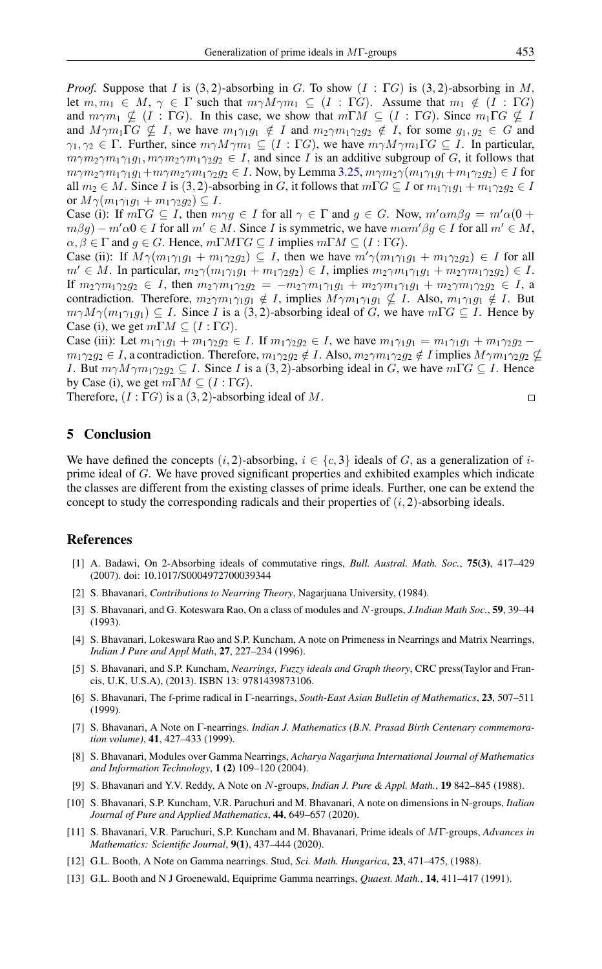*Proof.* Suppose that I is  $(3, 2)$ -absorbing in G. To show  $(I : \Gamma G)$  is  $(3, 2)$ -absorbing in M, let  $m, m_1 \in M$ ,  $\gamma \in \Gamma$  such that  $m\gamma M \gamma m_1 \subseteq (I : \Gamma G)$ . Assume that  $m_1 \notin (I : \Gamma G)$ and  $m\gamma m_1 \nsubseteq (I : \Gamma G)$ . In this case, we show that  $m\Gamma M \subseteq (I : \Gamma G)$ . Since  $m_1 \Gamma G \nsubseteq I$ and  $M \gamma m_1 \Gamma G \nsubseteq I$ , we have  $m_1 \gamma_1 g_1 \notin I$  and  $m_2 \gamma m_1 \gamma_2 g_2 \notin I$ , for some  $g_1, g_2 \in G$  and  $\gamma_1, \gamma_2 \in \Gamma$ . Further, since  $m\gamma M\gamma m_1 \subseteq (I : \Gamma G)$ , we have  $m\gamma M\gamma m_1 \Gamma G \subseteq I$ . In particular,  $m\gamma m_2\gamma m_1\gamma_1 g_1$ ,  $m\gamma m_2\gamma m_1\gamma_2 g_2 \in I$ , and since I is an additive subgroup of G, it follows that  $m_1m_2\gamma m_1\gamma_1g_1+m_1\gamma_2g_2 \in I$ . Now, by Lemma [3.25,](#page-5-0)  $m_1m_2\gamma(m_1\gamma_1g_1+m_1\gamma_2g_2) \in I$  for all  $m_2 \in M$ . Since I is (3, 2)-absorbing in G, it follows that  $m\Gamma G \subseteq I$  or  $m_1 \gamma_1 g_1 + m_1 \gamma_2 g_2 \in I$ or  $M\gamma(m_1\gamma_1g_1 + m_1\gamma_2g_2) \subseteq I$ .

Case (i): If  $m\Gamma G \subseteq I$ , then  $m\gamma g \in I$  for all  $\gamma \in \Gamma$  and  $g \in G$ . Now,  $m'\alpha m\beta g = m'\alpha(0 +$  $m\beta g$ ) –  $m'\alpha 0 \in I$  for all  $m' \in M$ . Since I is symmetric, we have  $m\alpha m'\beta g \in I$  for all  $m' \in M$ ,  $\alpha, \beta \in \Gamma$  and  $g \in G$ . Hence,  $m\Gamma M \Gamma G \subseteq I$  implies  $m\Gamma M \subseteq (I : \Gamma G)$ .

Case (ii): If  $M\gamma(m_1\gamma_1g_1 + m_1\gamma_2g_2) \subseteq I$ , then we have  $m'\gamma(m_1\gamma_1g_1 + m_1\gamma_2g_2) \in I$  for all  $m' \in M$ . In particular,  $m_2\gamma(m_1\gamma_1g_1 + m_1\gamma_2g_2) \in I$ , implies  $m_2\gamma m_1\gamma_1g_1 + m_2\gamma m_1\gamma_2g_2) \in I$ . If  $m_2 \gamma m_1 \gamma_2 g_2 \in I$ , then  $m_2 \gamma m_1 \gamma_2 g_2 = -m_2 \gamma m_1 \gamma_1 g_1 + m_2 \gamma m_1 \gamma_1 g_1 + m_2 \gamma m_1 \gamma_2 g_2 \in I$ , a contradiction. Therefore,  $m_2 \gamma m_1 \gamma_1 g_1 \notin I$ , implies  $M \gamma m_1 \gamma_1 g_1 \notin I$ . Also,  $m_1 \gamma_1 g_1 \notin I$ . But  $m\gamma M\gamma(m_1\gamma_1g_1) \subseteq I$ . Since I is a (3,2)-absorbing ideal of G, we have  $m\Gamma G \subseteq I$ . Hence by Case (i), we get  $m\Gamma M \subseteq (I : \Gamma G)$ .

Case (iii): Let  $m_1 \gamma_1 g_1 + m_1 \gamma_2 g_2 \in I$ . If  $m_1 \gamma_2 g_2 \in I$ , we have  $m_1 \gamma_1 g_1 = m_1 \gamma_1 g_1 + m_1 \gamma_2 g_2$  $m_1 \gamma_2 g_2 \in I$ , a contradiction. Therefore,  $m_1 \gamma_2 g_2 \notin I$ . Also,  $m_2 \gamma m_1 \gamma_2 g_2 \notin I$  implies  $M \gamma m_1 \gamma_2 g_2 \notin I$ I. But  $m\gamma M \gamma m_1 \gamma_2 g_2 \subseteq I$ . Since I is a (3, 2)-absorbing ideal in G, we have  $m\Gamma G \subseteq I$ . Hence by Case (i), we get  $m\Gamma M \subseteq (I : \Gamma G)$ .

Therefore,  $(I : \Gamma G)$  is a  $(3, 2)$ -absorbing ideal of M.

 $\Box$ 

## 5 Conclusion

We have defined the concepts  $(i, 2)$ -absorbing,  $i \in \{c, 3\}$  ideals of G, as a generalization of iprime ideal of G. We have proved significant properties and exhibited examples which indicate the classes are different from the existing classes of prime ideals. Further, one can be extend the concept to study the corresponding radicals and their properties of  $(i, 2)$ -absorbing ideals.

### <span id="page-10-0"></span>References

- <span id="page-10-1"></span>[1] A. Badawi, On 2-Absorbing ideals of commutative rings, *Bull. Austral. Math. Soc.*, 75(3), 417–429 (2007). doi: 10.1017/S0004972700039344
- <span id="page-10-4"></span>[2] S. Bhavanari, *Contributions to Nearring Theory*, Nagarjuana University, (1984).
- <span id="page-10-12"></span>[3] S. Bhavanari, and G. Koteswara Rao, On a class of modules and N-groups, *J.Indian Math Soc.*, 59, 39–44 (1993).
- <span id="page-10-2"></span>[4] S. Bhavanari, Lokeswara Rao and S.P. Kuncham, A note on Primeness in Nearrings and Matrix Nearrings, *Indian J Pure and Appl Math*, 27, 227–234 (1996).
- <span id="page-10-3"></span>[5] S. Bhavanari, and S.P. Kuncham, *Nearrings, Fuzzy ideals and Graph theory*, CRC press(Taylor and Francis, U.K, U.S.A), (2013). ISBN 13: 9781439873106.
- <span id="page-10-6"></span>[6] S. Bhavanari, The f-prime radical in Γ-nearrings, *South-East Asian Bulletin of Mathematics*, 23, 507–511 (1999).
- <span id="page-10-11"></span>[7] S. Bhavanari, A Note on Γ-nearrings. *Indian J. Mathematics (B.N. Prasad Birth Centenary commemoration volume)*, 41, 427–433 (1999).
- <span id="page-10-5"></span>[8] S. Bhavanari, Modules over Gamma Nearrings, *Acharya Nagarjuna International Journal of Mathematics and Information Technology*, 1 (2) 109–120 (2004).
- <span id="page-10-13"></span>[9] S. Bhavanari and Y.V. Reddy, A Note on N-groups, *Indian J. Pure & Appl. Math.*, 19 842–845 (1988).
- <span id="page-10-9"></span>[10] S. Bhavanari, S.P. Kuncham, V.R. Paruchuri and M. Bhavanari, A note on dimensions in N-groups, *Italian Journal of Pure and Applied Mathematics*, 44, 649–657 (2020).
- <span id="page-10-10"></span>[11] S. Bhavanari, V.R. Paruchuri, S.P. Kuncham and M. Bhavanari, Prime ideals of MΓ-groups, *Advances in Mathematics: Scientific Journal*, 9(1), 437–444 (2020).
- <span id="page-10-7"></span>[12] G.L. Booth, A Note on Gamma nearrings. Stud, *Sci. Math. Hungarica*, 23, 471–475, (1988).
- <span id="page-10-8"></span>[13] G.L. Booth and N J Groenewald, Equiprime Gamma nearrings, *Quaest. Math.*, 14, 411–417 (1991).